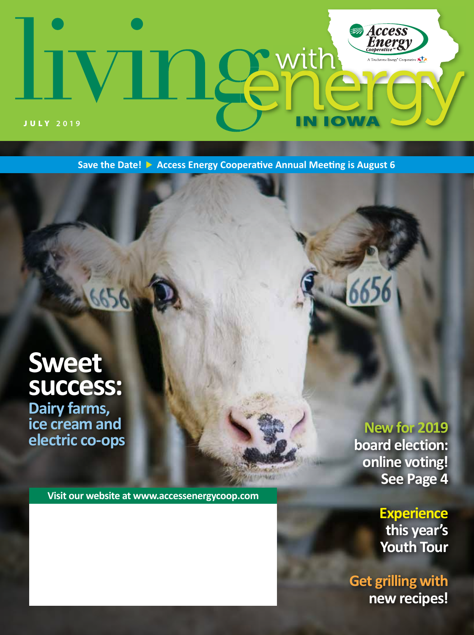## Access<br>Energy With 12  $\star$ **IOW** JULY **2019**

**Save the Date! Access Energy Cooperative Annual Meeting is August 6**

**INGEST** 

## **Sweet success: Dairy farms, ice cream and electric co-ops**

**Visit our website at www.accessenergycoop.com**

**New for 2019 board election: online voting! See Page 4**

> **Experience this year's Youth Tour**

**Get grilling with new recipes!**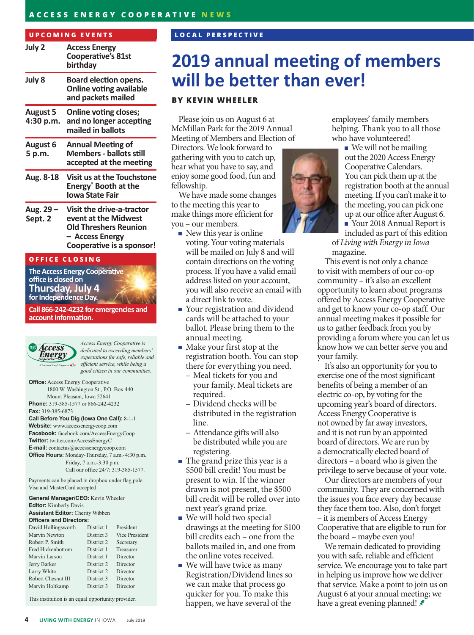### **ACCESS ENERGY COOPERATIVE NEWS**

#### **UPCOMING EVENTS**

| July 2                       | <b>Access Energy</b><br><b>Cooperative's 81st</b><br>birthday                                                                            |  |
|------------------------------|------------------------------------------------------------------------------------------------------------------------------------------|--|
| July 8                       | Board election opens.<br><b>Online voting available</b><br>and packets mailed                                                            |  |
| <b>August 5</b><br>4:30 p.m. | <b>Online voting closes;</b><br>and no longer accepting<br>mailed in ballots                                                             |  |
| <b>August 6</b><br>5 p.m.    | <b>Annual Meeting of</b><br><b>Members - ballots still</b><br>accepted at the meeting                                                    |  |
| Aug. 8-18                    | <b>Visit us at the Touchstone</b><br>Energy <sup>®</sup> Booth at the<br>Iowa State Fair                                                 |  |
| Aug. 29 –<br>Sept. 2         | <b>Visit the drive-a-tractor</b><br>event at the Midwest<br><b>Old Threshers Reunion</b><br>- Access Energy<br>Cooperative is a sponsor! |  |

#### **OFFICE CLOSING**

**The Access Energy Cooperative office is closed on Thursday, July 4 for Independence Day.**

**Call 866-242-4232 for emergencies and account information.**



*Access Energy Cooperative is dedicated to exceeding members' expectations for safe, reliable and efficient service, while being a good citizen in our communities.*

**Office:** Access Energy Cooperative 1800 W. Washington St., P.O. Box 440 Mount Pleasant, Iowa 52641 **Phone:** 319-385-1577 or 866-242-4232 **Fax:** 319-385-6873

#### **Call Before You Dig (Iowa One Call):** 8-1-1

**Website:** www.accessenergycoop.com **Facebook:** facebook.com/AccessEnergyCoop **Twitter:** twitter.com/AccessEnergyC **E-mail:** contactus@accessenergycoop.com **Office Hours:** Monday-Thursday, 7 a.m.-4:30 p.m. Friday, 7 a.m.-3:30 p.m. Call our office 24/7: 319-385-1577.

Payments can be placed in dropbox under flag pole. Visa and MasterCard accepted.

**General Manager/CEO:** Kevin Wheeler **Editor:** Kimberly Davis **Assistant Editor:** Cherity Wibben

### **Officers and Directors:**

| David Hollingsworth      | District 1 | President             |
|--------------------------|------------|-----------------------|
| Marvin Newton            | District 3 | <b>Vice President</b> |
| Robert P. Smith          | District 2 | Secretary             |
| <b>Fred Hickenbottom</b> | District 1 | Treasurer             |
| Marvin Larson            | District 1 | Director              |
| Jerry Barker             | District 2 | Director              |
| Larry White              | District 2 | Director              |
| Robert Chesnut III       | District 3 | Director              |
| Marvin Holtkamp          | District 3 | Director              |
|                          |            |                       |

This institution is an equal opportunity provider.

### **LOCAL PERSPECTIVE**

### **2019 annual meeting of members will be better than ever!**

### **BY KEVIN WHEELER**

Please join us on August 6 at McMillan Park for the 2019 Annual Meeting of Members and Election of

Directors. We look forward to gathering with you to catch up, hear what you have to say, and enjoy some good food, fun and fellowship.

We have made some changes to the meeting this year to make things more efficient for you – our members.

- $\blacksquare$  New this year is online voting. Your voting materials will be mailed on July 8 and will contain directions on the voting process. If you have a valid email address listed on your account, you will also receive an email with a direct link to vote.
- Your registration and dividend cards will be attached to your ballot. Please bring them to the annual meeting.
- $\blacksquare$  Make your first stop at the registration booth. You can stop there for everything you need.
	- Meal tickets for you and your family. Meal tickets are required.
	- Dividend checks will be distributed in the registration line.
	- Attendance gifts will also be distributed while you are registering.
- The grand prize this year is a \$500 bill credit! You must be present to win. If the winner drawn is not present, the \$500 bill credit will be rolled over into next year's grand prize.
- We will hold two special drawings at the meeting for \$100 bill credits each – one from the ballots mailed in, and one from the online votes received.
- We will have twice as many Registration/Dividend lines so we can make that process go quicker for you. To make this happen, we have several of the

employees' family members helping. Thank you to all those

 $\blacksquare$  We will not be mailing out the 2020 Access Energy Cooperative Calendars. You can pick them up at the registration booth at the annual meeting. If you can't make it to the meeting, you can pick one up at our office after August 6. Your 2018 Annual Report is

included as part of this edition of *Living with Energy in Iowa*  magazine.

This event is not only a chance to visit with members of our co-op community – it's also an excellent opportunity to learn about programs offered by Access Energy Cooperative and get to know your co-op staff. Our annual meeting makes it possible for us to gather feedback from you by providing a forum where you can let us know how we can better serve you and your family.

It's also an opportunity for you to exercise one of the most significant benefits of being a member of an electric co-op, by voting for the upcoming year's board of directors. Access Energy Cooperative is not owned by far away investors, and it is not run by an appointed board of directors. We are run by a democratically elected board of directors – a board who is given the privilege to serve because of your vote.

Our directors are members of your community. They are concerned with the issues you face every day because they face them too. Also, don't forget – it is members of Access Energy Cooperative that are eligible to run for the board – maybe even you!

We remain dedicated to providing you with safe, reliable and efficient service. We encourage you to take part in helping us improve how we deliver that service. Make a point to join us on August 6 at your annual meeting; we have a great evening planned!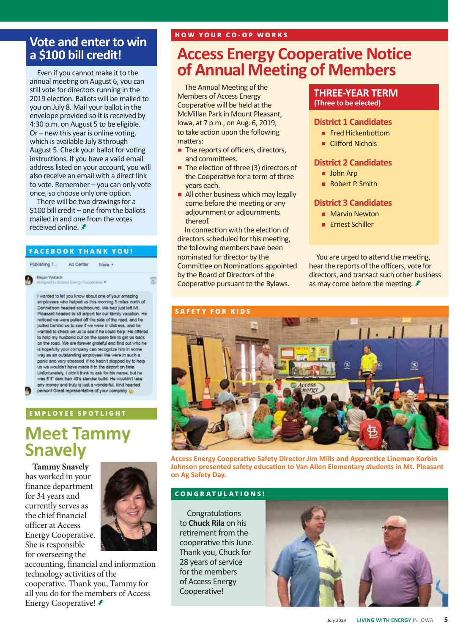### **Vote and enter to win a \$100 bill credit!**

Even if you cannot make it to the annual meeting on August 6, you can still vote for directors running in the 2019 election. Ballots will be mailed to you on July 8. Mail your ballot in the envelope provided so it is received by 4:30 p.m. on August 5 to be eligible. Or – new this year is online voting, which is available July 8through August 5. Check your ballot for voting instructions. If you have a valid email address listed on your account, you will also receive an email with a direct link to vote. Remember – you can only vote once, so choose only one option.

There will be two drawings for a \$100 bill credit – one from the ballots mailed in and one from the votes received online. *₹* 

#### **FACEBOOK THANK YOU!**

Publishing T... Ad Center More -

Megan Wettach

d to Abbess Energy Cooperatus

I wanted to let you know about one of your amazing employees who helped us this morning 5 miles north of Donnellson headed southbound. We had just left Mt. Pleasant headed to sti airport for our family vacation. He noticed we were pulled off the side of the road, and he pulled behind us to see if we were in distress, and he wanted to check on us to see if he could help. He offered to help my husband out on the spare tire to get us back on the road. We are forever grateful and find out who he is hopefully your company can recognize him in some way as an outstanding employee! We were in such a panic and very stressed, if he hadn't stopped by to help us we wouldn't have made it to the airport on time. Unfortunately, I clicin't think to ask for his name, but he was 6'3" dark hair 40's slender build. He wouldn't take any money and truly is just a wonderful, kind hearted person! Great representative of your company

### **EMPLOYEE SPOTLIGHT**

### **Meet Tammy Snavely**

**Tammy Snavely** has worked in your finance department for 34 years and currently serves as the chief financial officer at Access Energy Cooperative. She is responsible for overseeing the



accounting, financial and information technology activities of the cooperative. Thank you, Tammy for all you do for the members of Access Energy Cooperative!

### **Access Energy Cooperative Notice of Annual Meeting of Members**

The Annual Meeting of the Members of Access Energy Cooperative will be held at the McMillan Park in Mount Pleasant, Iowa, at 7 p.m., on Aug. 6, 2019, to take action upon the following matters:

- The reports of officers, directors, and committees.
- The election of three (3) directors of the Cooperative for a term of three years each.
- All other business which may legally come before the meeting or any adjournment or adjournments thereof.

In connection with the election of directors scheduled for this meeting, the following members have been nominated for director by the Committee on Nominations appointed by the Board of Directors of the Cooperative pursuant to the Bylaws.

### **THREE-YEAR TERM (Three to be elected)**

### **District 1 Candidates**

- Fred Hickenbottom
- Clifford Nichols

### **District 2 Candidates**

- **John Arp**
- Robert P. Smith

### **District 3 Candidates**

- **Marvin Newton**
- **Ernest Schiller**

You are urged to attend the meeting, hear the reports of the officers, vote for directors, and transact such other business as may come before the meeting. *₹* 



**Access Energy Cooperative Safety Director Jim Mills and Apprentice Lineman Korbin Johnson presented safety education to Van Allen Elementary students in Mt. Pleasant on Ag Safety Day.**

### **CONGRATULATIONS!**

**Congratulations** to **Chuck Rila** on his retirement from the cooperative this June. Thank you, Chuck for 28 years of service for the members of Access Energy Cooperative!

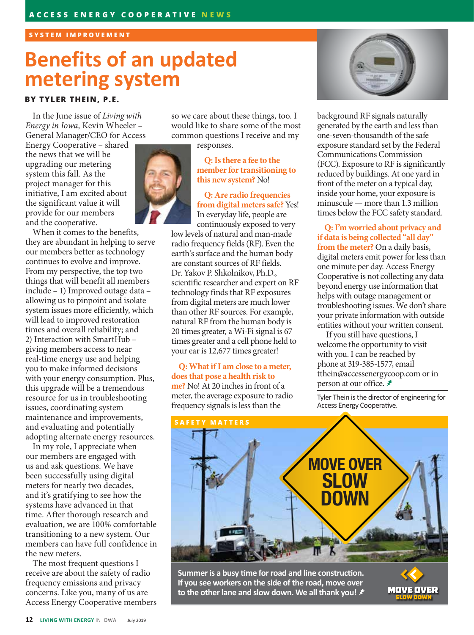### **SYSTEM IMPROVEMENT**

# **Benefits of an updated metering system**

### **BY TYLER THEIN, P.E.**

In the June issue of *Living with Energy in Iowa,* Kevin Wheeler – General Manager/CEO for Access

Energy Cooperative – shared the news that we will be upgrading our metering system this fall. As the project manager for this initiative, I am excited about the significant value it will provide for our members and the cooperative.

When it comes to the benefits, they are abundant in helping to serve our members better as technology continues to evolve and improve. From my perspective, the top two things that will benefit all members include – 1) Improved outage data – allowing us to pinpoint and isolate system issues more efficiently, which will lead to improved restoration times and overall reliability; and 2) Interaction with SmartHub – giving members access to near real-time energy use and helping you to make informed decisions with your energy consumption. Plus, this upgrade will be a tremendous resource for us in troubleshooting issues, coordinating system maintenance and improvements, and evaluating and potentially adopting alternate energy resources.

In my role, I appreciate when our members are engaged with us and ask questions. We have been successfully using digital meters for nearly two decades, and it's gratifying to see how the systems have advanced in that time. After thorough research and evaluation, we are 100% comfortable transitioning to a new system. Our members can have full confidence in the new meters.

The most frequent questions I receive are about the safety of radio frequency emissions and privacy concerns. Like you, many of us are Access Energy Cooperative members so we care about these things, too. I would like to share some of the most common questions I receive and my

responses.



**Q: Is there a fee to the member for transitioning to this new system?** No!

**Q: Are radio frequencies from digital meters safe?** Yes! In everyday life, people are continuously exposed to very

low levels of natural and man-made radio frequency fields (RF). Even the earth's surface and the human body are constant sources of RF fields. Dr. Yakov P. Shkolnikov, Ph.D., scientific researcher and expert on RF technology finds that RF exposures from digital meters are much lower than other RF sources. For example, natural RF from the human body is 20 times greater, a Wi-Fi signal is 67 times greater and a cell phone held to your ear is 12,677 times greater!

**Q: What if I am close to a meter, does that pose a health risk to me?** No! At 20 inches in front of a meter, the average exposure to radio frequency signals is less than the



background RF signals naturally generated by the earth and less than one-seven-thousandth of the safe exposure standard set by the Federal Communications Commission (FCC). Exposure to RF is significantly reduced by buildings. At one yard in front of the meter on a typical day, inside your home, your exposure is minuscule — more than 1.3 million times below the FCC safety standard.

**Q: I'm worried about privacy and if data is being collected "all day" from the meter?** On a daily basis,

digital meters emit power for less than one minute per day. Access Energy Cooperative is not collecting any data beyond energy use information that helps with outage management or troubleshooting issues. We don't share your private information with outside entities without your written consent.

 If you still have questions, I welcome the opportunity to visit with you. I can be reached by phone at 319-385-1577, email tthein@accessenergycoop.com or in person at our office. *≢* 

Tyler Thein is the director of engineering for Access Energy Cooperative.



**Summer is a busy time for road and line construction. If you see workers on the side of the road, move over to the other lane and slow down. We all thank you!**